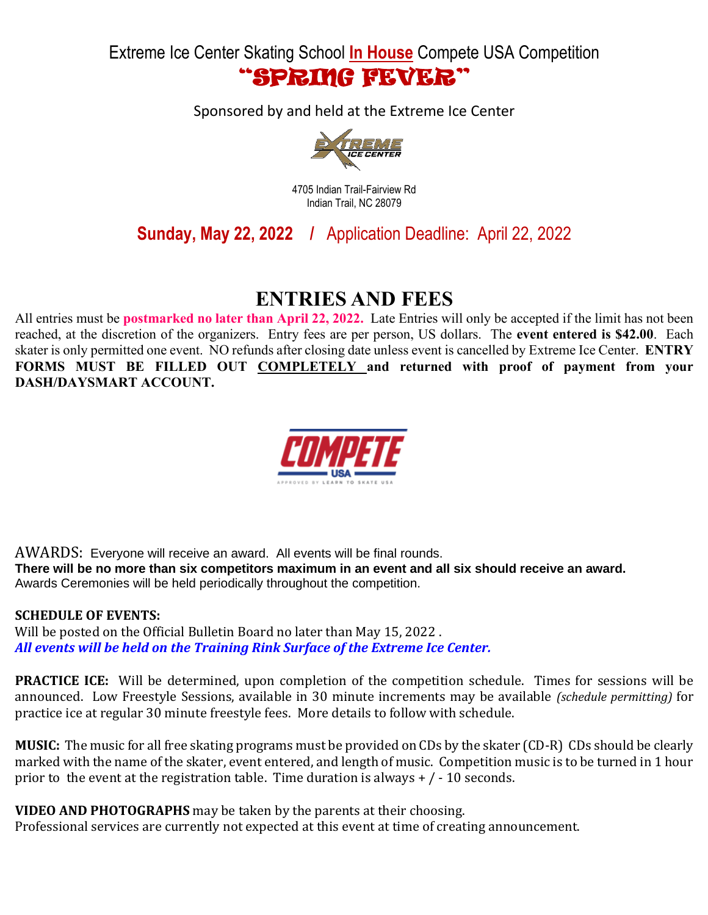Extreme Ice Center Skating School **In House** Compete USA Competition "SPRING FEVER"

Sponsored by and held at the Extreme Ice Center



4705 Indian Trail-Fairview Rd Indian Trail, NC 28079

**Sunday, May 22, 2022 /** Application Deadline: April 22, 2022

## **ENTRIES AND FEES**

All entries must be **postmarked no later than April 22, 2022.** Late Entries will only be accepted if the limit has not been reached, at the discretion of the organizers. Entry fees are per person, US dollars. The **event entered is \$42.00**. Each skater is only permitted one event. NO refunds after closing date unless event is cancelled by Extreme Ice Center. **ENTRY FORMS MUST BE FILLED OUT COMPLETELY and returned with proof of payment from your DASH/DAYSMART ACCOUNT.**



AWARDS: Everyone will receive an award. All events will be final rounds. **There will be no more than six competitors maximum in an event and all six should receive an award.** Awards Ceremonies will be held periodically throughout the competition.

### **SCHEDULE OF EVENTS:**

Will be posted on the Official Bulletin Board no later than May 15, 2022 . *All events will be held on the Training Rink Surface of the Extreme Ice Center.*

**PRACTICE ICE:** Will be determined, upon completion of the competition schedule. Times for sessions will be announced. Low Freestyle Sessions, available in 30 minute increments may be available *(schedule permitting)* for practice ice at regular 30 minute freestyle fees. More details to follow with schedule.

**MUSIC:** The music for all free skating programs must be provided on CDs by the skater (CD-R) CDs should be clearly marked with the name of the skater, event entered, and length of music. Competition music is to be turned in 1 hour prior to the event at the registration table. Time duration is always  $+$  /  $-$  10 seconds.

**VIDEO AND PHOTOGRAPHS** may be taken by the parents at their choosing.

Professional services are currently not expected at this event at time of creating announcement.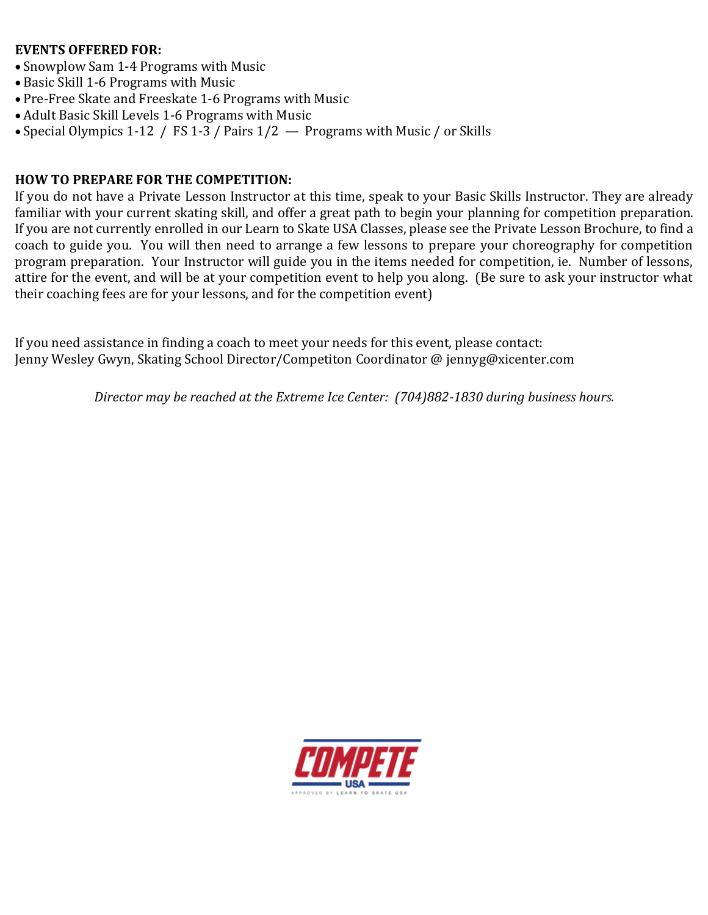### **EVENTS OFFERED FOR:**

- Snowplow Sam 1-4 Programs with Music
- Basic Skill 1-6 Programs with Music
- Pre-Free Skate and Freeskate 1-6 Programs with Music
- Adult Basic Skill Levels 1-6 Programs with Music
- Special Olympics 1-12 / FS 1-3 / Pairs 1/2 Programs with Music / or Skills

## **HOW TO PREPARE FOR THE COMPETITION:**

If you do not have a Private Lesson Instructor at this time, speak to your Basic Skills Instructor. They are already familiar with your current skating skill, and offer a great path to begin your planning for competition preparation. If you are not currently enrolled in our Learn to Skate USA Classes, please see the Private Lesson Brochure, to find a coach to guide you. You will then need to arrange a few lessons to prepare your choreography for competition program preparation. Your Instructor will guide you in the items needed for competition, ie. Number of lessons, attire for the event, and will be at your competition event to help you along. (Be sure to ask your instructor what their coaching fees are for your lessons, and for the competition event)

If you need assistance in finding a coach to meet your needs for this event, please contact: Jenny Wesley Gwyn, Skating School Director/Competiton Coordinator @ jennyg@xicenter.com

*Director may be reached at the Extreme Ice Center: (704)882-1830 during business hours.*

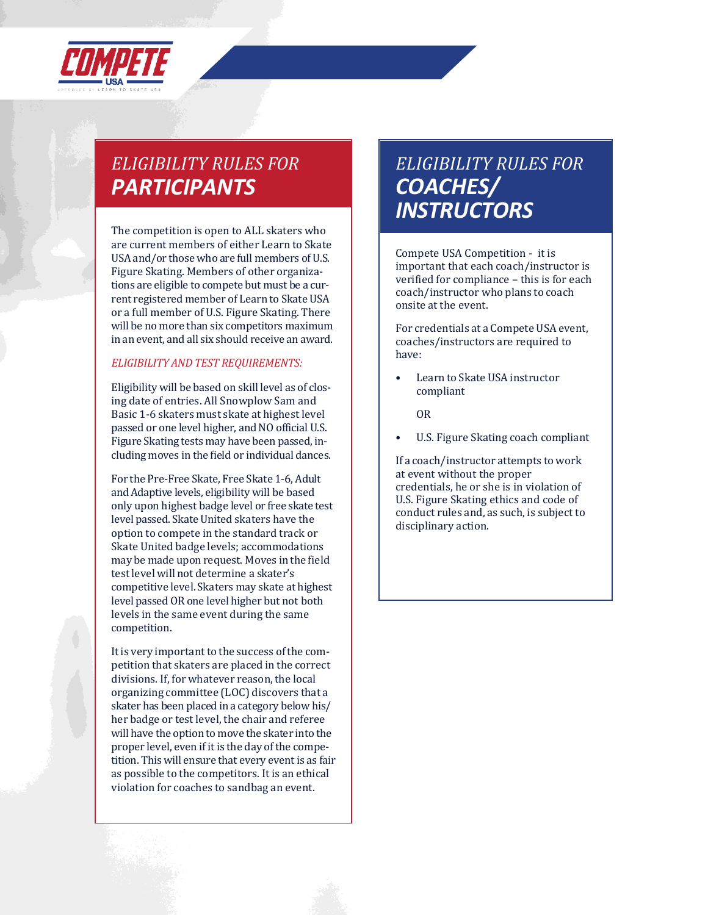

# *ELIGIBILITY RULES FOR PARTICIPANTS*

The competition is open to ALL skaters who are current members of either Learn to Skate USA and/or those who are full members of U.S. Figure Skating. Members of other organizations are eligible to compete but must be a current registered member of Learn to Skate USA or a full member of U.S. Figure Skating. There will be no more than six competitors maximum in an event, and all six should receive an award.

#### *ELIGIBILITY AND TEST REQUIREMENTS:*

Eligibility will be based on skill level as of closing date of entries. All Snowplow Sam and Basic 1-6 skaters must skate at highest level passed or one level higher, and NO official U.S. Figure Skating tests may have been passed, including moves in the field or individual dances.

For the Pre-Free Skate, Free Skate 1-6, Adult and Adaptive levels, eligibility will be based only upon highest badge level or free skate test level passed. Skate United skaters have the option to compete in the standard track or Skate United badge levels; accommodations may be made upon request. Moves in the field testlevel will not determine a skater's competitive level. Skaters may skate at highest level passed OR one level higher but not both levels in the same event during the same competition.

It is very important to the success of the competition that skaters are placed in the correct divisions. If, for whatever reason, the local organizing committee (LOC) discovers that a skater has been placed in a category belowhis/ her badge or test level, the chair and referee will have the option to move the skater into the proper level, even if it is the day of the competition. This will ensure that every event is as fair as possible to the competitors. It is an ethical violation for coaches to sandbag an event.

# *ELIGIBILITY RULES FOR COACHES/ INSTRUCTORS*

Compete USA Competition - it is important that each coach/instructor is verified for compliance – this is for each coach/instructor who plans to coach onsite at the event.

For credentials at a Compete USA event, coaches/instructors are required to have:

• Learn to Skate USA instructor compliant

OR

U.S. Figure Skating coach compliant

If a coach/instructor attempts to work at event without the proper credentials, he or she is in violation of U.S. Figure Skating ethics and code of conduct rules and, as such, is subject to disciplinary action.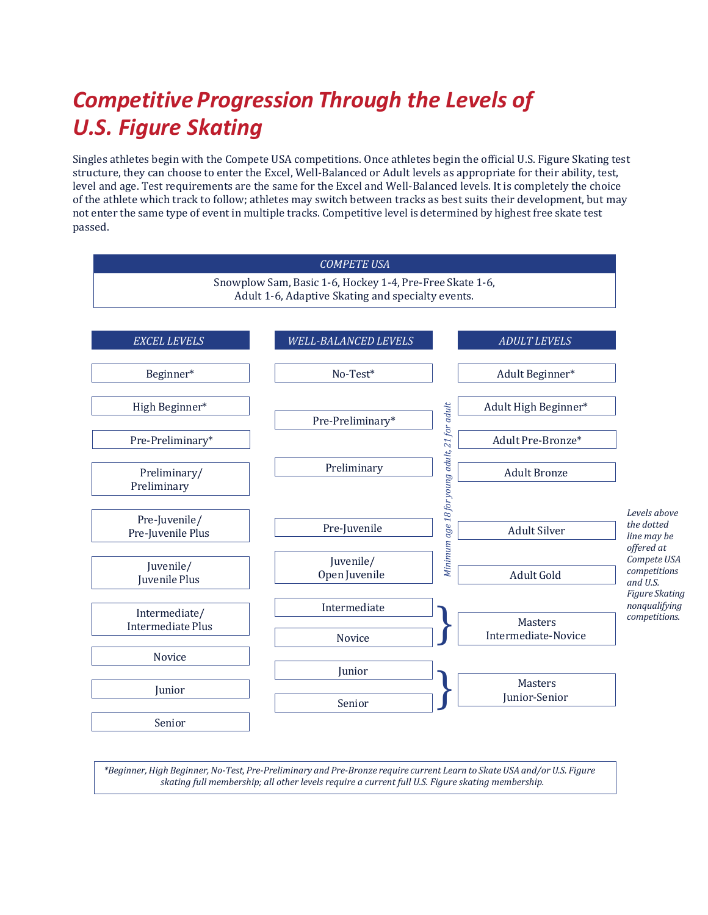# *Competitive Progression Through the Levels of U.S. Figure Skating*

Singles athletes begin with the Compete USA competitions. Once athletes begin the official U.S. Figure Skating test structure, they can choose to enter the Excel, Well-Balanced or Adult levels as appropriate for their ability, test, level and age. Test requirements are the same for the Excel and Well-Balanced levels. It is completely the choice of the athlete which track to follow; athletes may switch between tracks as best suits their development, but may not enter the same type of event in multiple tracks. Competitive level is determined by highest free skate test passed.



\*Beginner, High Beginner, No-Test, Pre-Preliminary and Pre-Bronze require current Learn to Skate USA and/or U.S. Figure *skating full membership; all other levels require a current full U.S. Figure skating membership.*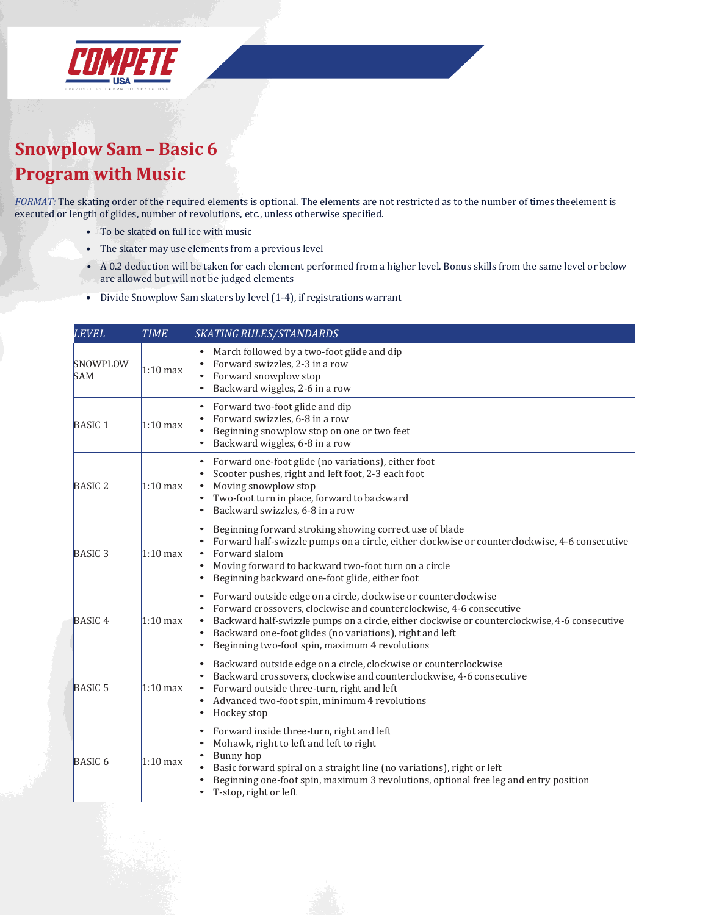

## **Snowplow Sam – Basic 6 Program with Music**

*FORMAT:* The skating order of the required elements is optional. The elements are not restricted as to the number of times theelement is executed or length of glides, number of revolutions, etc., unless otherwise specified.

- To be skated on full ice with music
- The skater may use elements from a previous level
- A 0.2 deduction will be taken for each element performed from a higher level. Bonus skills from the same level or below are allowed but will not be judged elements
- Divide Snowplow Sam skaters by level (1-4), if registrations warrant

| LEVEL                  | <b>TIME</b> | SKATING RULES/STANDARDS                                                                                                                                                                                                                                                                                                                                                                       |  |
|------------------------|-------------|-----------------------------------------------------------------------------------------------------------------------------------------------------------------------------------------------------------------------------------------------------------------------------------------------------------------------------------------------------------------------------------------------|--|
| SNOWPLOW<br><b>SAM</b> | $1:10$ max  | March followed by a two-foot glide and dip<br>$\bullet$<br>Forward swizzles, 2-3 in a row<br>Forward snowplow stop<br>$\bullet$<br>Backward wiggles, 2-6 in a row<br>$\bullet$                                                                                                                                                                                                                |  |
| <b>BASIC1</b>          | $1:10$ max  | Forward two-foot glide and dip<br>$\bullet$<br>Forward swizzles, 6-8 in a row<br>Beginning snowplow stop on one or two feet<br>$\bullet$<br>Backward wiggles, 6-8 in a row<br>$\bullet$                                                                                                                                                                                                       |  |
| <b>BASIC 2</b>         | $1:10$ max  | Forward one-foot glide (no variations), either foot<br>$\bullet$<br>Scooter pushes, right and left foot, 2-3 each foot<br>Moving snowplow stop<br>Two-foot turn in place, forward to backward<br>Backward swizzles, 6-8 in a row                                                                                                                                                              |  |
| <b>BASIC3</b>          | $1:10$ max  | Beginning forward stroking showing correct use of blade<br>$\bullet$<br>Forward half-swizzle pumps on a circle, either clockwise or counterclockwise, 4-6 consecutive<br>$\bullet$<br>Forward slalom<br>Moving forward to backward two-foot turn on a circle<br>$\bullet$<br>Beginning backward one-foot glide, either foot<br>$\bullet$                                                      |  |
| <b>BASIC4</b>          | $1:10$ max  | Forward outside edge on a circle, clockwise or counterclockwise<br>$\bullet$<br>Forward crossovers, clockwise and counterclockwise, 4-6 consecutive<br>Backward half-swizzle pumps on a circle, either clockwise or counterclockwise, 4-6 consecutive<br>Backward one-foot glides (no variations), right and left<br>$\bullet$<br>Beginning two-foot spin, maximum 4 revolutions<br>$\bullet$ |  |
| <b>BASIC 5</b>         | $1:10$ max  | Backward outside edge on a circle, clockwise or counterclockwise<br>$\bullet$<br>Backward crossovers, clockwise and counterclockwise, 4-6 consecutive<br>Forward outside three-turn, right and left<br>Advanced two-foot spin, minimum 4 revolutions<br>$\bullet$<br>Hockey stop<br>$\bullet$                                                                                                 |  |
| BASIC <sub>6</sub>     | $1:10$ max  | Forward inside three-turn, right and left<br>$\bullet$<br>Mohawk, right to left and left to right<br>$\bullet$<br>Bunny hop<br>Basic forward spiral on a straight line (no variations), right or left<br>$\bullet$<br>Beginning one-foot spin, maximum 3 revolutions, optional free leg and entry position<br>T-stop, right or left<br>$\bullet$                                              |  |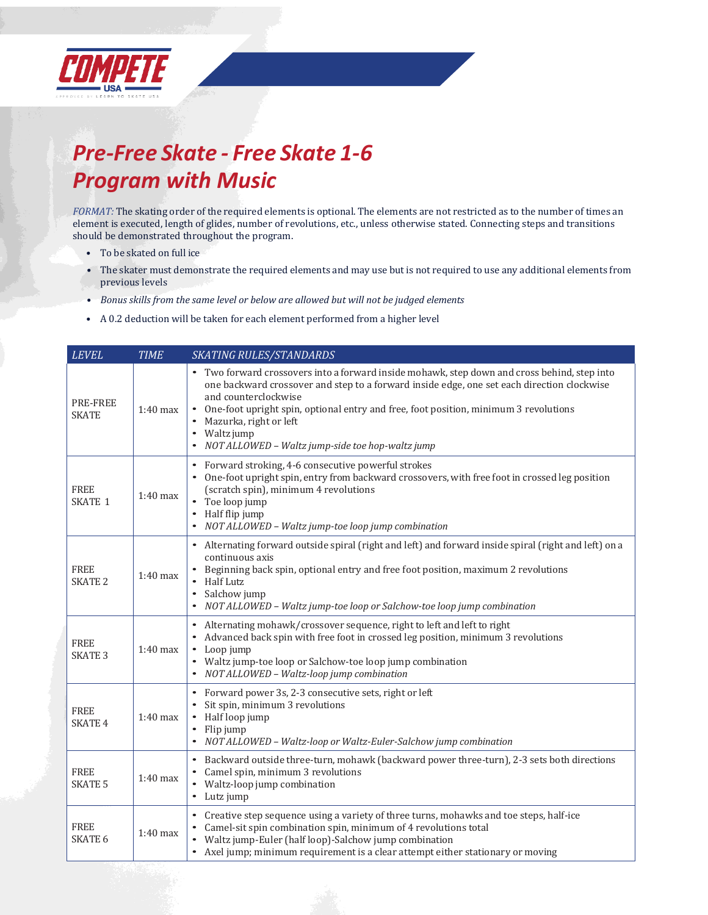

# *Pre-Free Skate - Free Skate 1-6 Program with Music*

*FORMAT:* The skating order of the required elements is optional. The elements are not restricted as to the number of times an element is executed, length of glides, number of revolutions, etc., unless otherwise stated. Connecting steps and transitions should be demonstrated throughout the program.

- To be skated on full ice
- The skater must demonstrate the required elements and may use but is not required to use any additional elements from previous levels
- *• Bonus skills from the same level or below are allowed but will not be judged elements*
- A 0.2 deduction will be taken for each element performed from a higher level

| <b>LEVEL</b>                  | <b>TIME</b> | <b>SKATING RULES/STANDARDS</b>                                                                                                                                                                                                                                                                                                                                                                                    |
|-------------------------------|-------------|-------------------------------------------------------------------------------------------------------------------------------------------------------------------------------------------------------------------------------------------------------------------------------------------------------------------------------------------------------------------------------------------------------------------|
| PRE-FREE<br><b>SKATE</b>      | $1:40$ max  | Two forward crossovers into a forward inside mohawk, step down and cross behind, step into<br>one backward crossover and step to a forward inside edge, one set each direction clockwise<br>and counterclockwise<br>One-foot upright spin, optional entry and free, foot position, minimum 3 revolutions<br>Mazurka, right or left<br>Waltz jump<br>$\bullet$<br>NOT ALLOWED - Waltz jump-side toe hop-waltz jump |
| <b>FREE</b><br><b>SKATE 1</b> | $1:40$ max  | Forward stroking, 4-6 consecutive powerful strokes<br>$\bullet$<br>One-foot upright spin, entry from backward crossovers, with free foot in crossed leg position<br>(scratch spin), minimum 4 revolutions<br>Toe loop jump<br>$\bullet$<br>Half flip jump<br>$\bullet$<br>NOT ALLOWED - Waltz jump-toe loop jump combination                                                                                      |
| <b>FREE</b><br><b>SKATE 2</b> | $1:40$ max  | Alternating forward outside spiral (right and left) and forward inside spiral (right and left) on a<br>continuous axis<br>Beginning back spin, optional entry and free foot position, maximum 2 revolutions<br><b>Half Lutz</b><br>Salchow jump<br>$\bullet$<br>NOT ALLOWED - Waltz jump-toe loop or Salchow-toe loop jump combination                                                                            |
| <b>FREE</b><br><b>SKATE 3</b> | $1:40$ max  | Alternating mohawk/crossover sequence, right to left and left to right<br>$\bullet$<br>Advanced back spin with free foot in crossed leg position, minimum 3 revolutions<br>Loop jump<br>Waltz jump-toe loop or Salchow-toe loop jump combination<br>NOT ALLOWED - Waltz-loop jump combination                                                                                                                     |
| <b>FREE</b><br><b>SKATE 4</b> | $1:40$ max  | Forward power 3s, 2-3 consecutive sets, right or left<br>$\bullet$<br>Sit spin, minimum 3 revolutions<br>Half loop jump<br>Flip jump<br>$\bullet$<br>NOT ALLOWED - Waltz-loop or Waltz-Euler-Salchow jump combination<br>$\bullet$                                                                                                                                                                                |
| <b>FREE</b><br><b>SKATE 5</b> | $1:40$ max  | Backward outside three-turn, mohawk (backward power three-turn), 2-3 sets both directions<br>$\bullet$<br>Camel spin, minimum 3 revolutions<br>Waltz-loop jump combination<br>$\bullet$<br>Lutz jump<br>$\bullet$                                                                                                                                                                                                 |
| <b>FREE</b><br><b>SKATE 6</b> | $1:40$ max  | Creative step sequence using a variety of three turns, mohawks and toe steps, half-ice<br>Camel-sit spin combination spin, minimum of 4 revolutions total<br>$\bullet$<br>Waltz jump-Euler (half loop)-Salchow jump combination<br>Axel jump; minimum requirement is a clear attempt either stationary or moving                                                                                                  |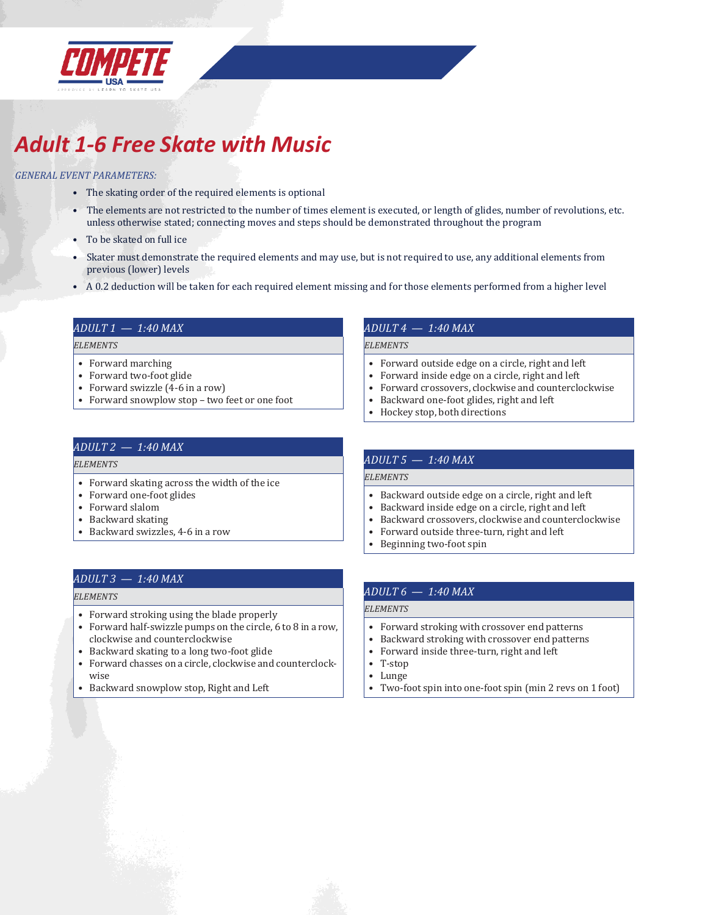

# *Adult 1-6 Free Skate with Music*

#### *GENERAL EVENT PARAMETERS:*

- The skating order of the required elements is optional
- The elements are not restricted to the number of times element is executed, or length of glides, number of revolutions, etc. unless otherwise stated; connecting moves and steps should be demonstrated throughout the program
- To be skated on full ice
- Skater must demonstrate the required elements and may use, but is not required to use, any additional elements from previous (lower) levels
- A 0.2 deduction will be taken for each required element missing and for those elements performed from a higher level

#### *ADULT 1 — 1:40 MAX*

#### *ELEMENTS*

- Forward marching
- Forward two-foot glide
- Forward swizzle (4-6 in a row)
- Forward snowplow stop two feet or one foot

#### *ADULT 4 — 1:40 MAX*

#### *ELEMENTS*

- Forward outside edge on a circle, right and left
- Forward inside edge on a circle, right and left
- Forward crossovers, clockwise and counterclockwise
- Backward one-foot glides, right and left
- Hockey stop, both directions

#### *ADULT 2 — 1:40 MAX*

#### *ELEMENTS*

- Forward skating across the width of the ice
- Forward one-foot glides
- Forward slalom
- Backward skating
- Backward swizzles, 4-6 in a row

#### *ADULT 3 — 1:40 MAX*

#### *ELEMENTS*

- Forward stroking using the blade properly
- Forward half-swizzle pumps on the circle, 6 to 8 in a row, clockwise and counterclockwise
- Backward skating to a long two-foot glide
- Forward chasses on a circle, clockwise and counterclockwise
- Backward snowplow stop, Right and Left

#### *ADULT 5 — 1:40 MAX*

#### *ELEMENTS*

- Backward outside edge on a circle, right and left
- Backward inside edge on a circle, right and left
- Backward crossovers, clockwise and counterclockwise
- Forward outside three-turn, right and left
- Beginning two-foot spin

#### *ADULT 6 — 1:40 MAX*

#### *ELEMENTS*

- Forward stroking with crossover end patterns
- Backward stroking with crossover end patterns
- Forward inside three-turn, right and left
- T-stop
- Lunge
- Two-foot spin into one-foot spin (min 2 revs on 1 foot)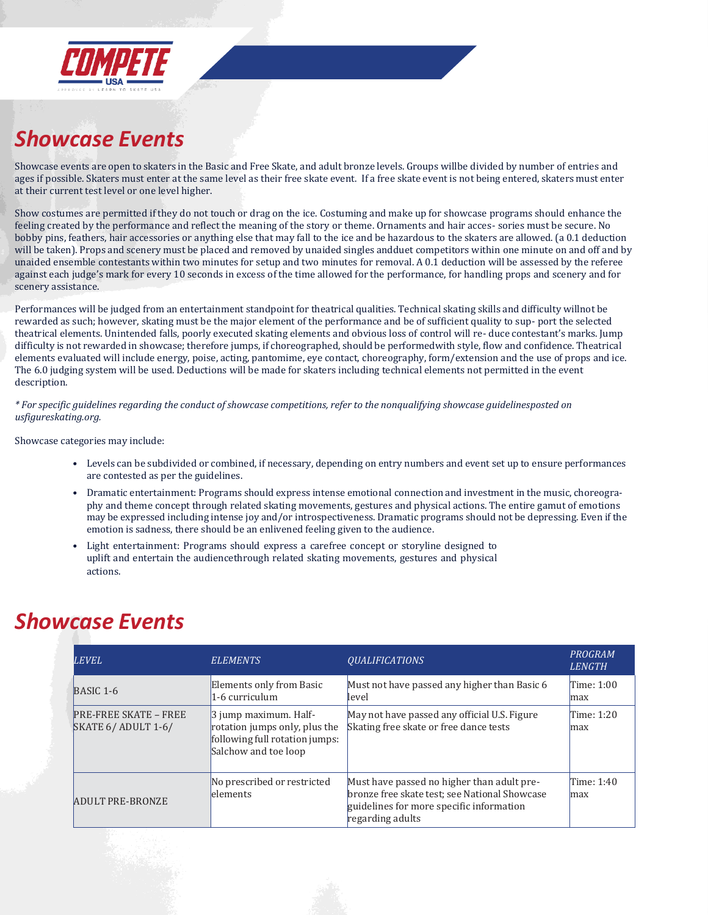

# *Showcase Events*

Showcase events are open to skaters in the Basic and Free Skate, and adult bronze levels. Groups willbe divided by number of entries and ages if possible. Skaters must enter at the same level as their free skate event. If a free skate event is not being entered, skaters must enter at their current test level or one level higher.

Show costumes are permitted if they do not touch or drag on the ice. Costuming and make up for showcase programs should enhance the feeling created by the performance and reflect the meaning of the story or theme. Ornaments and hair acces- sories must be secure. No bobby pins, feathers, hair accessories or anything else that may fall to the ice and be hazardous to the skaters are allowed. (a 0.1 deduction will be taken). Props and scenery must be placed and removed by unaided singles andduet competitors within one minute on and off and by unaided ensemble contestants within two minutes for setup and two minutes for removal. A 0.1 deduction will be assessed by the referee against each judge's mark for every 10 seconds in excess of the time allowed for the performance, for handling props and scenery and for scenery assistance.

Performances will be judged from an entertainment standpoint for theatrical qualities. Technical skating skills and difficulty willnot be rewarded as such; however, skating must be the major element of the performance and be of sufficient quality to sup- port the selected theatrical elements. Unintended falls, poorly executed skating elements and obvious loss of control will re- duce contestant's marks. Jump difficulty is not rewarded in showcase; therefore jumps, if choreographed, should be performedwith style, flow and confidence. Theatrical elements evaluated will include energy, poise, acting, pantomime, eye contact, choreography, form/extension and the use of props and ice. The 6.0 judging system will be used. Deductions will be made for skaters including technical elements not permitted in the event description.

\* For specific quidelines regarding the conduct of showcase competitions, refer to the nonqualifying showcase quidelinesposted on *usfigureskating.org.*

Showcase categories may include:

- Levels can be subdivided or combined, if necessary, depending on entry numbers and event set up to ensure performances are contested as per the guidelines.
- Dramatic entertainment: Programs should express intense emotional connection and investment in the music, choreography and theme concept through related skating movements, gestures and physical actions. The entire gamut of emotions may be expressed including intense joy and/or introspectiveness. Dramatic programs should not be depressing. Even if the emotion is sadness, there should be an enlivened feeling given to the audience.
- Light entertainment: Programs should express a carefree concept or storyline designed to uplift and entertain the audiencethrough related skating movements, gestures and physical actions.

## *Showcase Events*

| <b>LEVEL</b>                                          | <b>ELEMENTS</b>                                                                                                        | <i><b>OUALIFICATIONS</b></i>                                                                                                                                | PROGRAM<br><b>LENGTH</b> |
|-------------------------------------------------------|------------------------------------------------------------------------------------------------------------------------|-------------------------------------------------------------------------------------------------------------------------------------------------------------|--------------------------|
| $BASIC 1-6$                                           | Elements only from Basic<br>1-6 curriculum                                                                             | Must not have passed any higher than Basic 6<br>level                                                                                                       | Time: $1:00$<br>max      |
| <b>PRE-FREE SKATE - FREE</b><br>SKATE $6/$ ADULT 1-6/ | $\beta$ jump maximum. Half-<br>rotation jumps only, plus the<br>following full rotation jumps:<br>Salchow and toe loop | May not have passed any official U.S. Figure<br>Skating free skate or free dance tests                                                                      | Time: 1:20<br>max        |
| <b>ADULT PRE-BRONZE</b>                               | No prescribed or restricted<br>elements                                                                                | Must have passed no higher than adult pre-<br>bronze free skate test; see National Showcase<br>guidelines for more specific information<br>regarding adults | Time: 1:40<br>max        |